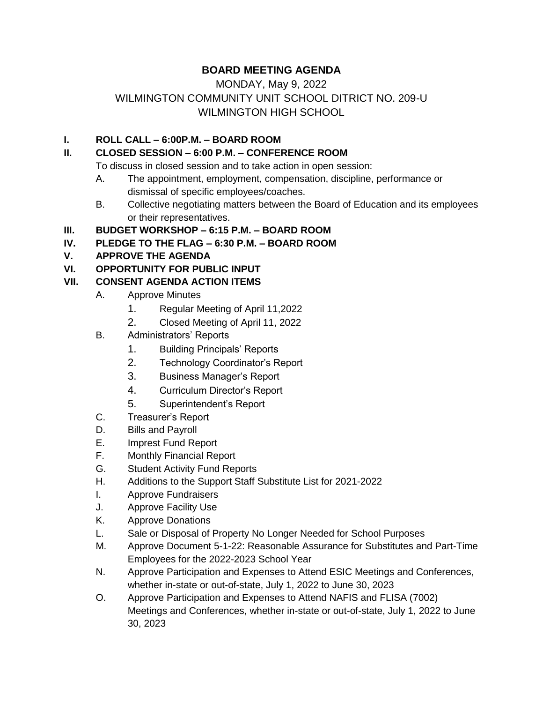# **BOARD MEETING AGENDA**

# MONDAY, May 9, 2022 WILMINGTON COMMUNITY UNIT SCHOOL DITRICT NO. 209-U WILMINGTON HIGH SCHOOL

### **I. ROLL CALL – 6:00P.M. – BOARD ROOM**

## **II. CLOSED SESSION – 6:00 P.M. – CONFERENCE ROOM**

To discuss in closed session and to take action in open session:

- A. The appointment, employment, compensation, discipline, performance or dismissal of specific employees/coaches.
- B. Collective negotiating matters between the Board of Education and its employees or their representatives.
- **III. BUDGET WORKSHOP – 6:15 P.M. – BOARD ROOM**

#### **IV. PLEDGE TO THE FLAG – 6:30 P.M. – BOARD ROOM**

## **V. APPROVE THE AGENDA**

## **VI. OPPORTUNITY FOR PUBLIC INPUT**

## **VII. CONSENT AGENDA ACTION ITEMS**

- A. Approve Minutes
	- 1. Regular Meeting of April 11,2022
	- 2. Closed Meeting of April 11, 2022
- B. Administrators' Reports
	- 1. Building Principals' Reports
	- 2. Technology Coordinator's Report
	- 3. Business Manager's Report
	- 4. Curriculum Director's Report
	- 5. Superintendent's Report
- C. Treasurer's Report
- D. Bills and Payroll
- E. Imprest Fund Report
- F. Monthly Financial Report
- G. Student Activity Fund Reports
- H. Additions to the Support Staff Substitute List for 2021-2022
- I. Approve Fundraisers
- J. Approve Facility Use
- K. Approve Donations
- L. Sale or Disposal of Property No Longer Needed for School Purposes
- M. Approve Document 5-1-22: Reasonable Assurance for Substitutes and Part-Time Employees for the 2022-2023 School Year
- N. Approve Participation and Expenses to Attend ESIC Meetings and Conferences, whether in-state or out-of-state, July 1, 2022 to June 30, 2023
- O. Approve Participation and Expenses to Attend NAFIS and FLISA (7002) Meetings and Conferences, whether in-state or out-of-state, July 1, 2022 to June 30, 2023